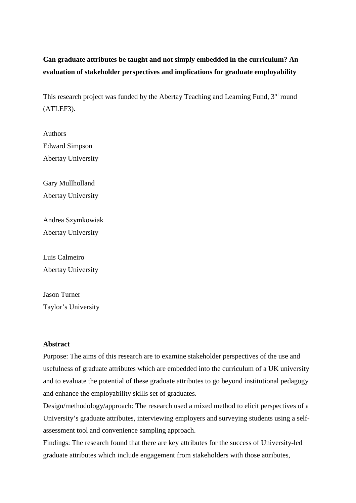# **Can graduate attributes be taught and not simply embedded in the curriculum? An evaluation of stakeholder perspectives and implications for graduate employability**

This research project was funded by the Abertay Teaching and Learning Fund, 3<sup>rd</sup> round (ATLEF3).

Authors Edward Simpson Abertay University

Gary Mullholland Abertay University

Andrea Szymkowiak Abertay University

Luis Calmeiro Abertay University

Jason Turner Taylor's University

### **Abstract**

Purpose: The aims of this research are to examine stakeholder perspectives of the use and usefulness of graduate attributes which are embedded into the curriculum of a UK university and to evaluate the potential of these graduate attributes to go beyond institutional pedagogy and enhance the employability skills set of graduates.

Design/methodology/approach: The research used a mixed method to elicit perspectives of a University's graduate attributes, interviewing employers and surveying students using a selfassessment tool and convenience sampling approach.

Findings: The research found that there are key attributes for the success of University-led graduate attributes which include engagement from stakeholders with those attributes,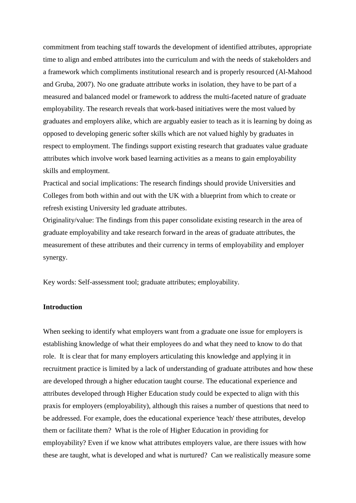commitment from teaching staff towards the development of identified attributes, appropriate time to align and embed attributes into the curriculum and with the needs of stakeholders and a framework which compliments institutional research and is properly resourced (Al-Mahood and Gruba, 2007). No one graduate attribute works in isolation, they have to be part of a measured and balanced model or framework to address the multi-faceted nature of graduate employability. The research reveals that work-based initiatives were the most valued by graduates and employers alike, which are arguably easier to teach as it is learning by doing as opposed to developing generic softer skills which are not valued highly by graduates in respect to employment. The findings support existing research that graduates value graduate attributes which involve work based learning activities as a means to gain employability skills and employment.

Practical and social implications: The research findings should provide Universities and Colleges from both within and out with the UK with a blueprint from which to create or refresh existing University led graduate attributes.

Originality/value: The findings from this paper consolidate existing research in the area of graduate employability and take research forward in the areas of graduate attributes, the measurement of these attributes and their currency in terms of employability and employer synergy.

Key words: Self-assessment tool; graduate attributes; employability.

### **Introduction**

When seeking to identify what employers want from a graduate one issue for employers is establishing knowledge of what their employees do and what they need to know to do that role. It is clear that for many employers articulating this knowledge and applying it in recruitment practice is limited by a lack of understanding of graduate attributes and how these are developed through a higher education taught course. The educational experience and attributes developed through Higher Education study could be expected to align with this praxis for employers (employability), although this raises a number of questions that need to be addressed. For example, does the educational experience 'teach' these attributes, develop them or facilitate them? What is the role of Higher Education in providing for employability? Even if we know what attributes employers value, are there issues with how these are taught, what is developed and what is nurtured? Can we realistically measure some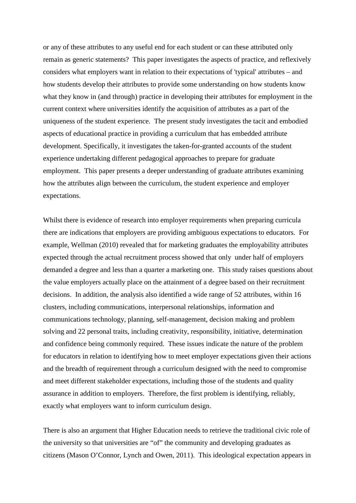or any of these attributes to any useful end for each student or can these attributed only remain as generic statements? This paper investigates the aspects of practice, and reflexively considers what employers want in relation to their expectations of 'typical' attributes – and how students develop their attributes to provide some understanding on how students know what they know in (and through) practice in developing their attributes for employment in the current context where universities identify the acquisition of attributes as a part of the uniqueness of the student experience. The present study investigates the tacit and embodied aspects of educational practice in providing a curriculum that has embedded attribute development. Specifically, it investigates the taken-for-granted accounts of the student experience undertaking different pedagogical approaches to prepare for graduate employment. This paper presents a deeper understanding of graduate attributes examining how the attributes align between the curriculum, the student experience and employer expectations.

Whilst there is evidence of research into employer requirements when preparing curricula there are indications that employers are providing ambiguous expectations to educators. For example, Wellman (2010) revealed that for marketing graduates the employability attributes expected through the actual recruitment process showed that only under half of employers demanded a degree and less than a quarter a marketing one. This study raises questions about the value employers actually place on the attainment of a degree based on their recruitment decisions. In addition, the analysis also identified a wide range of 52 attributes, within 16 clusters, including communications, interpersonal relationships, information and communications technology, planning, self-management, decision making and problem solving and 22 personal traits, including creativity, responsibility, initiative, determination and confidence being commonly required. These issues indicate the nature of the problem for educators in relation to identifying how to meet employer expectations given their actions and the breadth of requirement through a curriculum designed with the need to compromise and meet different stakeholder expectations, including those of the students and quality assurance in addition to employers. Therefore, the first problem is identifying, reliably, exactly what employers want to inform curriculum design.

There is also an argument that Higher Education needs to retrieve the traditional civic role of the university so that universities are "of" the community and developing graduates as citizens (Mason O'Connor, Lynch and Owen, 2011). This ideological expectation appears in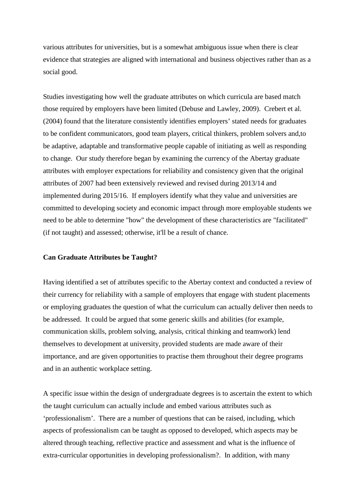various attributes for universities, but is a somewhat ambiguous issue when there is clear evidence that strategies are aligned with international and business objectives rather than as a social good.

Studies investigating how well the graduate attributes on which curricula are based match those required by employers have been limited (Debuse and Lawley, 2009). Crebert et al. (2004) found that the literature consistently identifies employers' stated needs for graduates to be confident communicators, good team players, critical thinkers, problem solvers and,to be adaptive, adaptable and transformative people capable of initiating as well as responding to change. Our study therefore began by examining the currency of the Abertay graduate attributes with employer expectations for reliability and consistency given that the original attributes of 2007 had been extensively reviewed and revised during 2013/14 and implemented during 2015/16. If employers identify what they value and universities are committed to developing society and economic impact through more employable students we need to be able to determine "how" the development of these characteristics are "facilitated" (if not taught) and assessed; otherwise, it'll be a result of chance.

### **Can Graduate Attributes be Taught?**

Having identified a set of attributes specific to the Abertay context and conducted a review of their currency for reliability with a sample of employers that engage with student placements or employing graduates the question of what the curriculum can actually deliver then needs to be addressed. It could be argued that some generic skills and abilities (for example, communication skills, problem solving, analysis, critical thinking and teamwork) lend themselves to development at university, provided students are made aware of their importance, and are given opportunities to practise them throughout their degree programs and in an authentic workplace setting.

A specific issue within the design of undergraduate degrees is to ascertain the extent to which the taught curriculum can actually include and embed various attributes such as 'professionalism'. There are a number of questions that can be raised, including, which aspects of professionalism can be taught as opposed to developed, which aspects may be altered through teaching, reflective practice and assessment and what is the influence of extra-curricular opportunities in developing professionalism?. In addition, with many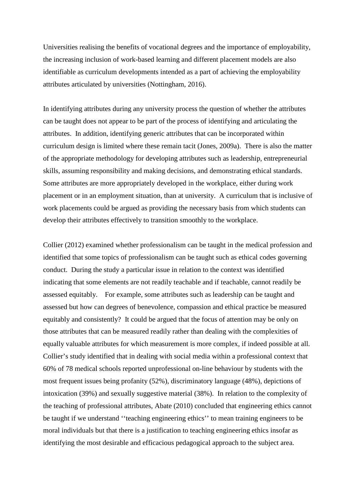Universities realising the benefits of vocational degrees and the importance of employability, the increasing inclusion of work-based learning and different placement models are also identifiable as curriculum developments intended as a part of achieving the employability attributes articulated by universities (Nottingham, 2016).

In identifying attributes during any university process the question of whether the attributes can be taught does not appear to be part of the process of identifying and articulating the attributes. In addition, identifying generic attributes that can be incorporated within curriculum design is limited where these remain tacit (Jones, 2009a). There is also the matter of the appropriate methodology for developing attributes such as leadership, entrepreneurial skills, assuming responsibility and making decisions, and demonstrating ethical standards. Some attributes are more appropriately developed in the workplace, either during work placement or in an employment situation, than at university. A curriculum that is inclusive of work placements could be argued as providing the necessary basis from which students can develop their attributes effectively to transition smoothly to the workplace.

Collier (2012) examined whether professionalism can be taught in the medical profession and identified that some topics of professionalism can be taught such as ethical codes governing conduct. During the study a particular issue in relation to the context was identified indicating that some elements are not readily teachable and if teachable, cannot readily be assessed equitably. For example, some attributes such as leadership can be taught and assessed but how can degrees of benevolence, compassion and ethical practice be measured equitably and consistently? It could be argued that the focus of attention may be only on those attributes that can be measured readily rather than dealing with the complexities of equally valuable attributes for which measurement is more complex, if indeed possible at all. Collier's study identified that in dealing with social media within a professional context that 60% of 78 medical schools reported unprofessional on-line behaviour by students with the most frequent issues being profanity (52%), discriminatory language (48%), depictions of intoxication (39%) and sexually suggestive material (38%). In relation to the complexity of the teaching of professional attributes, Abate (2010) concluded that engineering ethics cannot be taught if we understand ''teaching engineering ethics'' to mean training engineers to be moral individuals but that there is a justification to teaching engineering ethics insofar as identifying the most desirable and efficacious pedagogical approach to the subject area.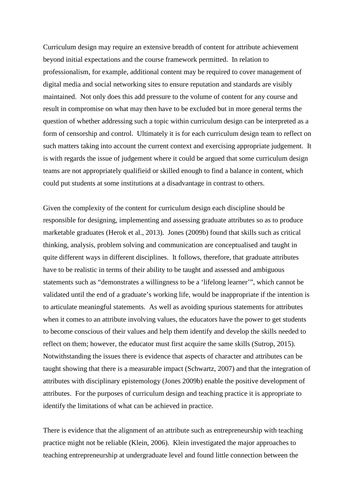Curriculum design may require an extensive breadth of content for attribute achievement beyond initial expectations and the course framework permitted. In relation to professionalism, for example, additional content may be required to cover management of digital media and social networking sites to ensure reputation and standards are visibly maintained. Not only does this add pressure to the volume of content for any course and result in compromise on what may then have to be excluded but in more general terms the question of whether addressing such a topic within curriculum design can be interpreted as a form of censorship and control. Ultimately it is for each curriculum design team to reflect on such matters taking into account the current context and exercising appropriate judgement. It is with regards the issue of judgement where it could be argued that some curriculum design teams are not appropriately qualifieid or skilled enough to find a balance in content, which could put students at some institutions at a disadvantage in contrast to others.

Given the complexity of the content for curriculum design each discipline should be responsible for designing, implementing and assessing graduate attributes so as to produce marketable graduates (Herok et al., 2013). Jones (2009b) found that skills such as critical thinking, analysis, problem solving and communication are conceptualised and taught in quite different ways in different disciplines. It follows, therefore, that graduate attributes have to be realistic in terms of their ability to be taught and assessed and ambiguous statements such as "demonstrates a willingness to be a 'lifelong learner'", which cannot be validated until the end of a graduate's working life, would be inappropriate if the intention is to articulate meaningful statements. As well as avoiding spurious statements for attributes when it comes to an attribute involving values, the educators have the power to get students to become conscious of their values and help them identify and develop the skills needed to reflect on them; however, the educator must first acquire the same skills (Sutrop, 2015). Notwithstanding the issues there is evidence that aspects of character and attributes can be taught showing that there is a measurable impact (Schwartz, 2007) and that the integration of attributes with disciplinary epistemology (Jones 2009b) enable the positive development of attributes. For the purposes of curriculum design and teaching practice it is appropriate to identify the limitations of what can be achieved in practice.

There is evidence that the alignment of an attribute such as entrepreneurship with teaching practice might not be reliable (Klein, 2006). Klein investigated the major approaches to teaching entrepreneurship at undergraduate level and found little connection between the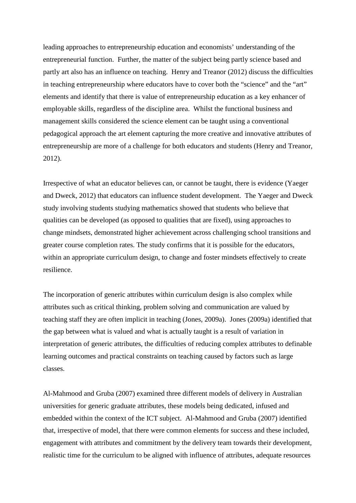leading approaches to entrepreneurship education and economists' understanding of the entrepreneurial function. Further, the matter of the subject being partly science based and partly art also has an influence on teaching. Henry and Treanor (2012) discuss the difficulties in teaching entrepreneurship where educators have to cover both the "science" and the "art" elements and identify that there is value of entrepreneurship education as a key enhancer of employable skills, regardless of the discipline area. Whilst the functional business and management skills considered the science element can be taught using a conventional pedagogical approach the art element capturing the more creative and innovative attributes of entrepreneurship are more of a challenge for both educators and students (Henry and Treanor, 2012).

Irrespective of what an educator believes can, or cannot be taught, there is evidence (Yaeger and Dweck, 2012) that educators can influence student development. The Yaeger and Dweck study involving students studying mathematics showed that students who believe that qualities can be developed (as opposed to qualities that are fixed), using approaches to change mindsets, demonstrated higher achievement across challenging school transitions and greater course completion rates. The study confirms that it is possible for the educators, within an appropriate curriculum design, to change and foster mindsets effectively to create resilience.

The incorporation of generic attributes within curriculum design is also complex while attributes such as critical thinking, problem solving and communication are valued by teaching staff they are often implicit in teaching (Jones, 2009a). Jones (2009a) identified that the gap between what is valued and what is actually taught is a result of variation in interpretation of generic attributes, the difficulties of reducing complex attributes to definable learning outcomes and practical constraints on teaching caused by factors such as large classes.

Al-Mahmood and Gruba (2007) examined three different models of delivery in Australian universities for generic graduate attributes, these models being dedicated, infused and embedded within the context of the ICT subject. Al-Mahmood and Gruba (2007) identified that, irrespective of model, that there were common elements for success and these included, engagement with attributes and commitment by the delivery team towards their development, realistic time for the curriculum to be aligned with influence of attributes, adequate resources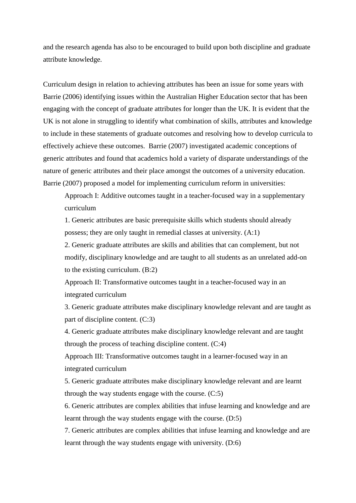and the research agenda has also to be encouraged to build upon both discipline and graduate attribute knowledge.

Curriculum design in relation to achieving attributes has been an issue for some years with Barrie (2006) identifying issues within the Australian Higher Education sector that has been engaging with the concept of graduate attributes for longer than the UK. It is evident that the UK is not alone in struggling to identify what combination of skills, attributes and knowledge to include in these statements of graduate outcomes and resolving how to develop curricula to effectively achieve these outcomes. Barrie (2007) investigated academic conceptions of generic attributes and found that academics hold a variety of disparate understandings of the nature of generic attributes and their place amongst the outcomes of a university education. Barrie (2007) proposed a model for implementing curriculum reform in universities:

Approach I: Additive outcomes taught in a teacher-focused way in a supplementary curriculum

1. Generic attributes are basic prerequisite skills which students should already possess; they are only taught in remedial classes at university. (A:1)

2. Generic graduate attributes are skills and abilities that can complement, but not modify, disciplinary knowledge and are taught to all students as an unrelated add-on to the existing curriculum. (B:2)

Approach II: Transformative outcomes taught in a teacher-focused way in an integrated curriculum

3. Generic graduate attributes make disciplinary knowledge relevant and are taught as part of discipline content. (C:3)

4. Generic graduate attributes make disciplinary knowledge relevant and are taught through the process of teaching discipline content. (C:4)

Approach III: Transformative outcomes taught in a learner-focused way in an integrated curriculum

5. Generic graduate attributes make disciplinary knowledge relevant and are learnt through the way students engage with the course. (C:5)

6. Generic attributes are complex abilities that infuse learning and knowledge and are learnt through the way students engage with the course. (D:5)

7. Generic attributes are complex abilities that infuse learning and knowledge and are learnt through the way students engage with university. (D:6)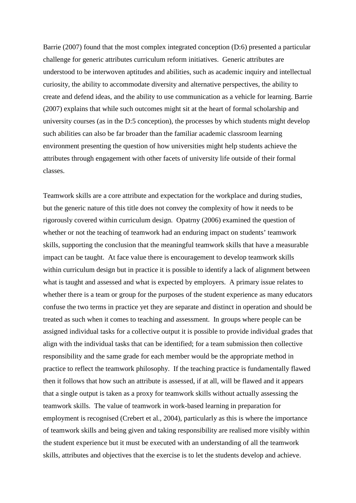Barrie (2007) found that the most complex integrated conception (D:6) presented a particular challenge for generic attributes curriculum reform initiatives. Generic attributes are understood to be interwoven aptitudes and abilities, such as academic inquiry and intellectual curiosity, the ability to accommodate diversity and alternative perspectives, the ability to create and defend ideas, and the ability to use communication as a vehicle for learning. Barrie (2007) explains that while such outcomes might sit at the heart of formal scholarship and university courses (as in the D:5 conception), the processes by which students might develop such abilities can also be far broader than the familiar academic classroom learning environment presenting the question of how universities might help students achieve the attributes through engagement with other facets of university life outside of their formal classes.

Teamwork skills are a core attribute and expectation for the workplace and during studies, but the generic nature of this title does not convey the complexity of how it needs to be rigorously covered within curriculum design. Opatrny (2006) examined the question of whether or not the teaching of teamwork had an enduring impact on students' teamwork skills, supporting the conclusion that the meaningful teamwork skills that have a measurable impact can be taught. At face value there is encouragement to develop teamwork skills within curriculum design but in practice it is possible to identify a lack of alignment between what is taught and assessed and what is expected by employers. A primary issue relates to whether there is a team or group for the purposes of the student experience as many educators confuse the two terms in practice yet they are separate and distinct in operation and should be treated as such when it comes to teaching and assessment. In groups where people can be assigned individual tasks for a collective output it is possible to provide individual grades that align with the individual tasks that can be identified; for a team submission then collective responsibility and the same grade for each member would be the appropriate method in practice to reflect the teamwork philosophy. If the teaching practice is fundamentally flawed then it follows that how such an attribute is assessed, if at all, will be flawed and it appears that a single output is taken as a proxy for teamwork skills without actually assessing the teamwork skills. The value of teamwork in work-based learning in preparation for employment is recognised (Crebert et al., 2004), particularly as this is where the importance of teamwork skills and being given and taking responsibility are realised more visibly within the student experience but it must be executed with an understanding of all the teamwork skills, attributes and objectives that the exercise is to let the students develop and achieve.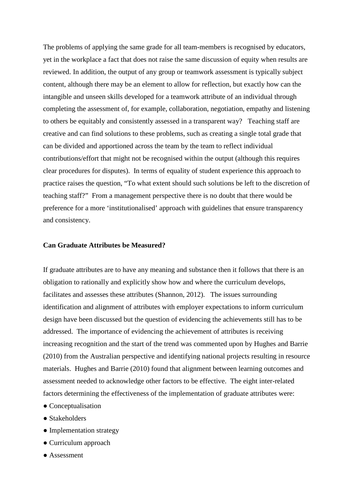The problems of applying the same grade for all team-members is recognised by educators, yet in the workplace a fact that does not raise the same discussion of equity when results are reviewed. In addition, the output of any group or teamwork assessment is typically subject content, although there may be an element to allow for reflection, but exactly how can the intangible and unseen skills developed for a teamwork attribute of an individual through completing the assessment of, for example, collaboration, negotiation, empathy and listening to others be equitably and consistently assessed in a transparent way? Teaching staff are creative and can find solutions to these problems, such as creating a single total grade that can be divided and apportioned across the team by the team to reflect individual contributions/effort that might not be recognised within the output (although this requires clear procedures for disputes). In terms of equality of student experience this approach to practice raises the question, "To what extent should such solutions be left to the discretion of teaching staff?" From a management perspective there is no doubt that there would be preference for a more 'institutionalised' approach with guidelines that ensure transparency and consistency.

### **Can Graduate Attributes be Measured?**

If graduate attributes are to have any meaning and substance then it follows that there is an obligation to rationally and explicitly show how and where the curriculum develops, facilitates and assesses these attributes (Shannon, 2012). The issues surrounding identification and alignment of attributes with employer expectations to inform curriculum design have been discussed but the question of evidencing the achievements still has to be addressed. The importance of evidencing the achievement of attributes is receiving increasing recognition and the start of the trend was commented upon by Hughes and Barrie (2010) from the Australian perspective and identifying national projects resulting in resource materials. Hughes and Barrie (2010) found that alignment between learning outcomes and assessment needed to acknowledge other factors to be effective. The eight inter-related factors determining the effectiveness of the implementation of graduate attributes were:

- Conceptualisation
- Stakeholders
- Implementation strategy
- Curriculum approach
- Assessment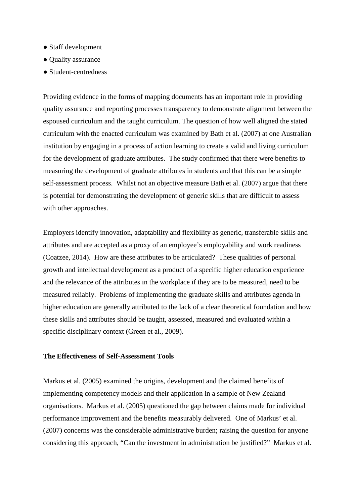- Staff development
- Quality assurance
- Student-centredness

Providing evidence in the forms of mapping documents has an important role in providing quality assurance and reporting processes transparency to demonstrate alignment between the espoused curriculum and the taught curriculum. The question of how well aligned the stated curriculum with the enacted curriculum was examined by Bath et al. (2007) at one Australian institution by engaging in a process of action learning to create a valid and living curriculum for the development of graduate attributes. The study confirmed that there were benefits to measuring the development of graduate attributes in students and that this can be a simple self-assessment process. Whilst not an objective measure Bath et al. (2007) argue that there is potential for demonstrating the development of generic skills that are difficult to assess with other approaches.

Employers identify innovation, adaptability and flexibility as generic, transferable skills and attributes and are accepted as a proxy of an employee's employability and work readiness (Coatzee, 2014). How are these attributes to be articulated? These qualities of personal growth and intellectual development as a product of a specific higher education experience and the relevance of the attributes in the workplace if they are to be measured, need to be measured reliably. Problems of implementing the graduate skills and attributes agenda in higher education are generally attributed to the lack of a clear theoretical foundation and how these skills and attributes should be taught, assessed, measured and evaluated within a specific disciplinary context (Green et al., 2009).

### **The Effectiveness of Self-Assessment Tools**

Markus et al. (2005) examined the origins, development and the claimed benefits of implementing competency models and their application in a sample of New Zealand organisations. Markus et al. (2005) questioned the gap between claims made for individual performance improvement and the benefits measurably delivered. One of Markus' et al. (2007) concerns was the considerable administrative burden; raising the question for anyone considering this approach, "Can the investment in administration be justified?" Markus et al.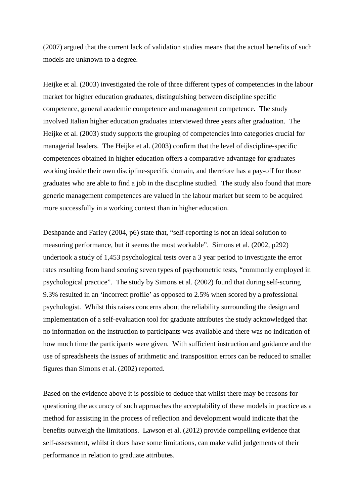(2007) argued that the current lack of validation studies means that the actual benefits of such models are unknown to a degree.

Heijke et al. (2003) investigated the role of three different types of competencies in the labour market for higher education graduates, distinguishing between discipline specific competence, general academic competence and management competence. The study involved Italian higher education graduates interviewed three years after graduation. The Heijke et al. (2003) study supports the grouping of competencies into categories crucial for managerial leaders. The Heijke et al. (2003) confirm that the level of discipline-specific competences obtained in higher education offers a comparative advantage for graduates working inside their own discipline-specific domain, and therefore has a pay-off for those graduates who are able to find a job in the discipline studied. The study also found that more generic management competences are valued in the labour market but seem to be acquired more successfully in a working context than in higher education.

Deshpande and Farley (2004, p6) state that, "self-reporting is not an ideal solution to measuring performance, but it seems the most workable". Simons et al. (2002, p292) undertook a study of 1,453 psychological tests over a 3 year period to investigate the error rates resulting from hand scoring seven types of psychometric tests, "commonly employed in psychological practice". The study by Simons et al. (2002) found that during self-scoring 9.3% resulted in an 'incorrect profile' as opposed to 2.5% when scored by a professional psychologist. Whilst this raises concerns about the reliability surrounding the design and implementation of a self-evaluation tool for graduate attributes the study acknowledged that no information on the instruction to participants was available and there was no indication of how much time the participants were given. With sufficient instruction and guidance and the use of spreadsheets the issues of arithmetic and transposition errors can be reduced to smaller figures than Simons et al. (2002) reported.

Based on the evidence above it is possible to deduce that whilst there may be reasons for questioning the accuracy of such approaches the acceptability of these models in practice as a method for assisting in the process of reflection and development would indicate that the benefits outweigh the limitations. Lawson et al. (2012) provide compelling evidence that self-assessment, whilst it does have some limitations, can make valid judgements of their performance in relation to graduate attributes.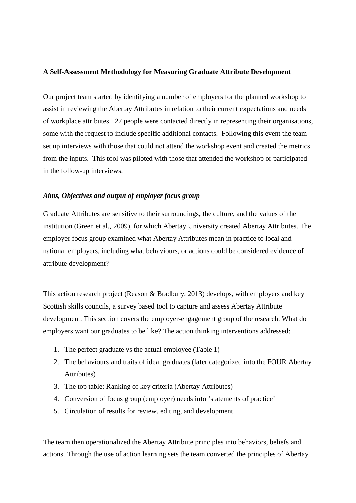#### **A Self-Assessment Methodology for Measuring Graduate Attribute Development**

Our project team started by identifying a number of employers for the planned workshop to assist in reviewing the Abertay Attributes in relation to their current expectations and needs of workplace attributes. 27 people were contacted directly in representing their organisations, some with the request to include specific additional contacts. Following this event the team set up interviews with those that could not attend the workshop event and created the metrics from the inputs. This tool was piloted with those that attended the workshop or participated in the follow-up interviews.

#### *Aims, Objectives and output of employer focus group*

Graduate Attributes are sensitive to their surroundings, the culture, and the values of the institution (Green et al., 2009), for which Abertay University created Abertay Attributes. The employer focus group examined what Abertay Attributes mean in practice to local and national employers, including what behaviours, or actions could be considered evidence of attribute development?

This action research project (Reason & Bradbury, 2013) develops, with employers and key Scottish skills councils, a survey based tool to capture and assess Abertay Attribute development. This section covers the employer-engagement group of the research. What do employers want our graduates to be like? The action thinking interventions addressed:

- 1. The perfect graduate vs the actual employee (Table 1)
- 2. The behaviours and traits of ideal graduates (later categorized into the FOUR Abertay Attributes)
- 3. The top table: Ranking of key criteria (Abertay Attributes)
- 4. Conversion of focus group (employer) needs into 'statements of practice'
- 5. Circulation of results for review, editing, and development.

The team then operationalized the Abertay Attribute principles into behaviors, beliefs and actions. Through the use of action learning sets the team converted the principles of Abertay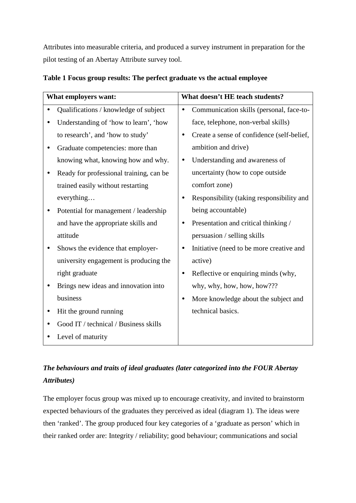Attributes into measurable criteria, and produced a survey instrument in preparation for the pilot testing of an Abertay Attribute survey tool.

| What employers want:                    | What doesn't HE teach students?                         |
|-----------------------------------------|---------------------------------------------------------|
| Qualifications / knowledge of subject   | Communication skills (personal, face-to-<br>$\bullet$   |
| Understanding of 'how to learn', 'how   | face, telephone, non-verbal skills)                     |
| to research', and 'how to study'        | Create a sense of confidence (self-belief,<br>$\bullet$ |
| Graduate competencies: more than        | ambition and drive)                                     |
| knowing what, knowing how and why.      | Understanding and awareness of<br>$\bullet$             |
| Ready for professional training, can be | uncertainty (how to cope outside                        |
| trained easily without restarting       | comfort zone)                                           |
| everything                              | Responsibility (taking responsibility and<br>$\bullet$  |
| Potential for management / leadership   | being accountable)                                      |
| and have the appropriate skills and     | Presentation and critical thinking /<br>$\bullet$       |
| attitude                                | persuasion / selling skills                             |
| Shows the evidence that employer-       | Initiative (need to be more creative and<br>$\bullet$   |
| university engagement is producing the  | active)                                                 |
| right graduate                          | Reflective or enquiring minds (why,<br>$\bullet$        |
| Brings new ideas and innovation into    | why, why, how, how, how???                              |
| business                                | More knowledge about the subject and<br>$\bullet$       |
| Hit the ground running                  | technical basics.                                       |
| Good IT / technical / Business skills   |                                                         |
| Level of maturity                       |                                                         |

### **Table 1 Focus group results: The perfect graduate vs the actual employee**

# *The behaviours and traits of ideal graduates (later categorized into the FOUR Abertay Attributes)*

The employer focus group was mixed up to encourage creativity, and invited to brainstorm expected behaviours of the graduates they perceived as ideal (diagram 1). The ideas were then 'ranked'. The group produced four key categories of a 'graduate as person' which in their ranked order are: Integrity / reliability; good behaviour; communications and social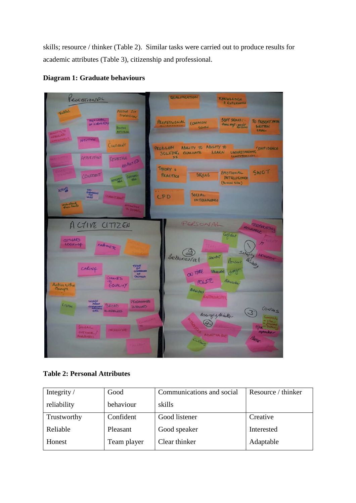skills; resource / thinker (Table 2). Similar tasks were carried out to produce results for academic attributes (Table 3), citizenship and professional.





**Table 2: Personal Attributes** 

| Integrity / | Good        | Communications and social | Resource / thinker |
|-------------|-------------|---------------------------|--------------------|
| reliability | behaviour   | skills                    |                    |
| Trustworthy | Confident   | Good listener             | Creative           |
| Reliable    | Pleasant    | Good speaker              | Interested         |
| Honest      | Team player | Clear thinker             | Adaptable          |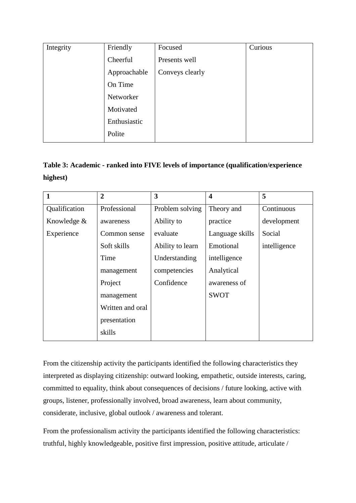| Integrity | Friendly     | Focused         | Curious |
|-----------|--------------|-----------------|---------|
|           | Cheerful     | Presents well   |         |
|           | Approachable | Conveys clearly |         |
|           | On Time      |                 |         |
|           | Networker    |                 |         |
|           | Motivated    |                 |         |
|           | Enthusiastic |                 |         |
|           | Polite       |                 |         |
|           |              |                 |         |

# **Table 3: Academic - ranked into FIVE levels of importance (qualification/experience highest)**

| $\mathbf{1}$  | $\overline{2}$   | 3                | $\overline{\mathbf{4}}$ | 5            |
|---------------|------------------|------------------|-------------------------|--------------|
| Qualification | Professional     | Problem solving  | Theory and              | Continuous   |
| Knowledge &   | awareness        | Ability to       | practice                | development  |
| Experience    | Common sense     | evaluate         | Language skills         | Social       |
|               | Soft skills      | Ability to learn | Emotional               | intelligence |
|               | Time             | Understanding    | intelligence            |              |
|               | management       | competencies     | Analytical              |              |
|               | Project          | Confidence       | awareness of            |              |
|               | management       |                  | <b>SWOT</b>             |              |
|               | Written and oral |                  |                         |              |
|               | presentation     |                  |                         |              |
|               | skills           |                  |                         |              |

From the citizenship activity the participants identified the following characteristics they interpreted as displaying citizenship: outward looking, empathetic, outside interests, caring, committed to equality, think about consequences of decisions / future looking, active with groups, listener, professionally involved, broad awareness, learn about community, considerate, inclusive, global outlook / awareness and tolerant.

From the professionalism activity the participants identified the following characteristics: truthful, highly knowledgeable, positive first impression, positive attitude, articulate /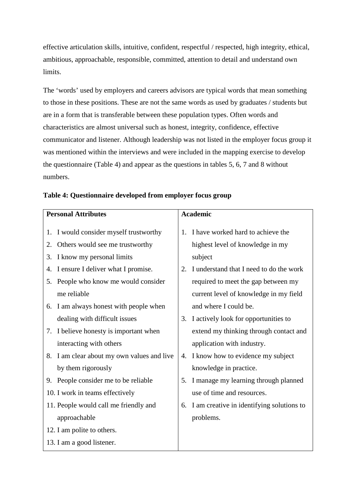effective articulation skills, intuitive, confident, respectful / respected, high integrity, ethical, ambitious, approachable, responsible, committed, attention to detail and understand own limits.

The 'words' used by employers and careers advisors are typical words that mean something to those in these positions. These are not the same words as used by graduates / students but are in a form that is transferable between these population types. Often words and characteristics are almost universal such as honest, integrity, confidence, effective communicator and listener. Although leadership was not listed in the employer focus group it was mentioned within the interviews and were included in the mapping exercise to develop the questionnaire (Table 4) and appear as the questions in tables 5, 6, 7 and 8 without numbers.

| <b>Personal Attributes</b>                    | <b>Academic</b>                                 |
|-----------------------------------------------|-------------------------------------------------|
| I would consider myself trustworthy<br>1.     | I have worked hard to achieve the<br>$1_{-}$    |
| Others would see me trustworthy<br>2.         | highest level of knowledge in my                |
| I know my personal limits<br>3.               | subject                                         |
| I ensure I deliver what I promise.<br>4.      | I understand that I need to do the work<br>2.   |
| People who know me would consider<br>5.       | required to meet the gap between my             |
| me reliable                                   | current level of knowledge in my field          |
| I am always honest with people when<br>6.     | and where I could be.                           |
| dealing with difficult issues                 | I actively look for opportunities to<br>3.      |
| I believe honesty is important when<br>7.     | extend my thinking through contact and          |
| interacting with others                       | application with industry.                      |
| I am clear about my own values and live<br>8. | 4. I know how to evidence my subject            |
| by them rigorously                            | knowledge in practice.                          |
| People consider me to be reliable<br>9.       | I manage my learning through planned<br>5.      |
| 10. I work in teams effectively               | use of time and resources.                      |
| 11. People would call me friendly and         | I am creative in identifying solutions to<br>6. |
| approachable                                  | problems.                                       |
| 12. I am polite to others.                    |                                                 |
| 13. I am a good listener.                     |                                                 |

### **Table 4: Questionnaire developed from employer focus group**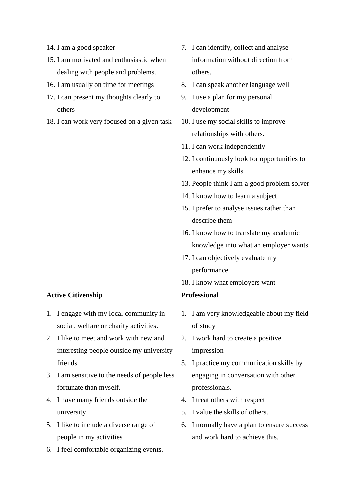| 14. I am a good speaker                          | 7. I can identify, collect and analyse                                       |  |  |  |
|--------------------------------------------------|------------------------------------------------------------------------------|--|--|--|
| 15. I am motivated and enthusiastic when         | information without direction from                                           |  |  |  |
| dealing with people and problems.                | others.                                                                      |  |  |  |
| 16. I am usually on time for meetings            | I can speak another language well<br>8.                                      |  |  |  |
| 17. I can present my thoughts clearly to         | I use a plan for my personal<br>9.                                           |  |  |  |
| others                                           | development                                                                  |  |  |  |
| 18. I can work very focused on a given task      | 10. I use my social skills to improve                                        |  |  |  |
|                                                  | relationships with others.                                                   |  |  |  |
|                                                  | 11. I can work independently                                                 |  |  |  |
|                                                  | 12. I continuously look for opportunities to                                 |  |  |  |
|                                                  | enhance my skills                                                            |  |  |  |
|                                                  | 13. People think I am a good problem solver                                  |  |  |  |
|                                                  | 14. I know how to learn a subject                                            |  |  |  |
|                                                  | 15. I prefer to analyse issues rather than                                   |  |  |  |
|                                                  | describe them                                                                |  |  |  |
|                                                  | 16. I know how to translate my academic                                      |  |  |  |
|                                                  | knowledge into what an employer wants                                        |  |  |  |
|                                                  | 17. I can objectively evaluate my                                            |  |  |  |
|                                                  | performance                                                                  |  |  |  |
|                                                  | 18. I know what employers want                                               |  |  |  |
| <b>Active Citizenship</b>                        | <b>Professional</b>                                                          |  |  |  |
| 1. I engage with my local community in           | 1. I am very knowledgeable about my field                                    |  |  |  |
| social, welfare or charity activities.           | of study                                                                     |  |  |  |
| I like to meet and work with new and<br>2.       | I work hard to create a positive<br>2.                                       |  |  |  |
| interesting people outside my university         | impression                                                                   |  |  |  |
| friends.                                         |                                                                              |  |  |  |
|                                                  | 3.                                                                           |  |  |  |
| I am sensitive to the needs of people less<br>3. | I practice my communication skills by<br>engaging in conversation with other |  |  |  |
| fortunate than myself.                           | professionals.                                                               |  |  |  |
| I have many friends outside the<br>4.            | I treat others with respect<br>4.                                            |  |  |  |
| university                                       | I value the skills of others.<br>5.                                          |  |  |  |
| I like to include a diverse range of<br>5.       | I normally have a plan to ensure success<br>6.                               |  |  |  |
| people in my activities                          | and work hard to achieve this.                                               |  |  |  |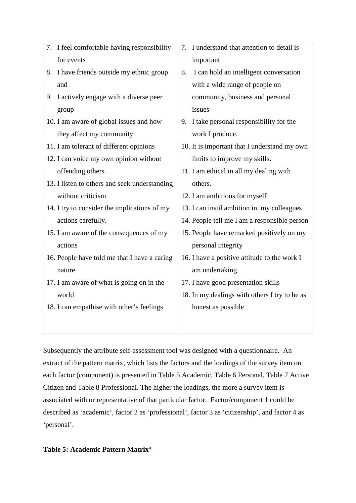| 7. I feel comfortable having responsibility   | 7. I understand that attention to detail is   |
|-----------------------------------------------|-----------------------------------------------|
| for events                                    | important                                     |
| 8. I have friends outside my ethnic group     | I can hold an intelligent conversation<br>8.  |
| and                                           | with a wide range of people on                |
| I actively engage with a diverse peer<br>9.   | community, business and personal              |
| group                                         | issues                                        |
| 10. I am aware of global issues and how       | I take personal responsibility for the<br>9.  |
| they affect my community                      | work I produce.                               |
| 11. I am tolerant of different opinions       | 10. It is important that I understand my own  |
| 12. I can voice my own opinion without        | limits to improve my skills.                  |
| offending others.                             | 11. I am ethical in all my dealing with       |
| 13. I listen to others and seek understanding | others.                                       |
| without criticism                             | 12. I am ambitious for myself                 |
| 14. I try to consider the implications of my  | 13. I can instil ambition in my colleagues    |
| actions carefully.                            | 14. People tell me I am a responsible person  |
| 15. I am aware of the consequences of my      | 15. People have remarked positively on my     |
| actions                                       | personal integrity                            |
| 16. People have told me that I have a caring  | 16. I have a positive attitude to the work I  |
| nature                                        | am undertaking                                |
| 17. I am aware of what is going on in the     | 17. I have good presentation skills           |
| world                                         | 18. In my dealings with others I try to be as |
| 18. I can empathise with other's feelings     | honest as possible                            |
|                                               |                                               |
|                                               |                                               |

Subsequently the attribute self-assessment tool was designed with a questionnaire. An extract of the pattern matrix, which lists the factors and the loadings of the survey item on each factor (component) is presented in Table 5 Academic, Table 6 Personal, Table 7 Active Citizen and Table 8 Professional. The higher the loadings, the more a survey item is associated with or representative of that particular factor. Factor/component 1 could be described as 'academic', factor 2 as 'professional', factor 3 as 'citizenship', and factor 4 as 'personal'.

### **Table 5: Academic Pattern Matrixa**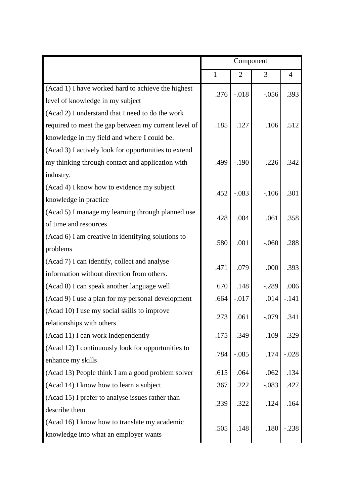|                                                      | Component    |                |         |                |
|------------------------------------------------------|--------------|----------------|---------|----------------|
|                                                      | $\mathbf{1}$ | $\overline{2}$ | 3       | $\overline{4}$ |
| (Acad 1) I have worked hard to achieve the highest   | .376         | $-.018$        | $-.056$ | .393           |
| level of knowledge in my subject                     |              |                |         |                |
| (Acad 2) I understand that I need to do the work     |              |                |         |                |
| required to meet the gap between my current level of | .185         | .127           | .106    | .512           |
| knowledge in my field and where I could be.          |              |                |         |                |
| (Acad 3) I actively look for opportunities to extend |              |                |         |                |
| my thinking through contact and application with     | .499         | $-.190$        | .226    | .342           |
| industry.                                            |              |                |         |                |
| (Acad 4) I know how to evidence my subject           | .452         | $-.083$        | $-.106$ | .301           |
| knowledge in practice                                |              |                |         |                |
| (Acad 5) I manage my learning through planned use    | .428         | .004           | .061    | .358           |
| of time and resources                                |              |                |         |                |
| (Acad 6) I am creative in identifying solutions to   | .580         | .001           | $-.060$ | .288           |
| problems                                             |              |                |         |                |
| (Acad 7) I can identify, collect and analyse         | .471         | .079           | .000    | .393           |
| information without direction from others.           |              |                |         |                |
| (Acad 8) I can speak another language well           | .670         | .148           | $-.289$ | .006           |
| (Acad 9) I use a plan for my personal development    | .664         | $-.017$        | .014    | $-.141$        |
| (Acad 10) I use my social skills to improve          | .273         | .061           | $-.079$ | .341           |
| relationships with others                            |              |                |         |                |
| (Acad 11) I can work independently                   | .175         | .349           | .109    | .329           |
| (Acad 12) I continuously look for opportunities to   | .784         | $-.085$        | .174    | $-.028$        |
| enhance my skills                                    |              |                |         |                |
| (Acad 13) People think I am a good problem solver    | .615         | .064           | .062    | .134           |
| (Acad 14) I know how to learn a subject              | .367         | .222           | $-.083$ | .427           |
| (Acad 15) I prefer to analyse issues rather than     | .339         | .322           | .124    | .164           |
| describe them                                        |              |                |         |                |
| (Acad 16) I know how to translate my academic        | .505         | .148           | .180    | $-.238$        |
| knowledge into what an employer wants                |              |                |         |                |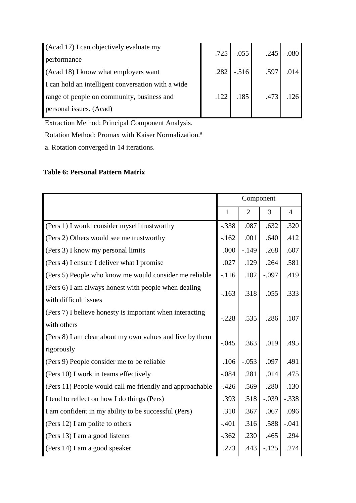| (Acad 17) I can objectively evaluate my            |      | $.725$ $-.055$ |      | $.245$ $-.080$ |
|----------------------------------------------------|------|----------------|------|----------------|
| performance                                        |      |                |      |                |
| (Acad 18) I know what employers want               |      | $.282$ $-.516$ | .597 | .014           |
| I can hold an intelligent conversation with a wide |      |                |      |                |
| range of people on community, business and         | .122 | .185           | .473 |                |
| personal issues. (Acad)                            |      |                |      |                |

Extraction Method: Principal Component Analysis.

Rotation Method: Promax with Kaiser Normalization.<sup>a</sup>

a. Rotation converged in 14 iterations.

## **Table 6: Personal Pattern Matrix**

|                                                                               | Component    |                |         |                |
|-------------------------------------------------------------------------------|--------------|----------------|---------|----------------|
|                                                                               | $\mathbf{1}$ | $\overline{2}$ | 3       | $\overline{4}$ |
| (Pers 1) I would consider myself trustworthy                                  | $-.338$      | .087           | .632    | .320           |
| (Pers 2) Others would see me trustworthy                                      | $-.162$      | .001           | .640    | .412           |
| (Pers 3) I know my personal limits                                            | .000         | $-.149$        | .268    | .607           |
| (Pers 4) I ensure I deliver what I promise                                    | .027         | .129           | .264    | .581           |
| (Pers 5) People who know me would consider me reliable                        | $-116$       | .102           | $-.097$ | .419           |
| (Pers 6) I am always honest with people when dealing<br>with difficult issues | $-.163$      | .318           | .055    | .333           |
| (Pers 7) I believe honesty is important when interacting                      |              |                |         |                |
| with others                                                                   | $-.228$      | .535           | .286    | .107           |
| (Pers 8) I am clear about my own values and live by them<br>rigorously        | $-.045$      | .363           | .019    | .495           |
| (Pers 9) People consider me to be reliable                                    | .106         | $-.053$        | .097    | .491           |
| (Pers 10) I work in teams effectively                                         | $-.084$      | .281           | .014    | .475           |
| (Pers 11) People would call me friendly and approachable                      | $-.426$      | .569           | .280    | .130           |
| I tend to reflect on how I do things (Pers)                                   | .393         | .518           | $-.039$ | $-.338$        |
| I am confident in my ability to be successful (Pers)                          | .310         | .367           | .067    | .096           |
| (Pers 12) I am polite to others                                               | $-.401$      | .316           | .588    | $-.041$        |
| (Pers 13) I am a good listener                                                | $-.362$      | .230           | .465    | .294           |
| (Pers 14) I am a good speaker                                                 | .273         | .443           | $-.125$ | .274           |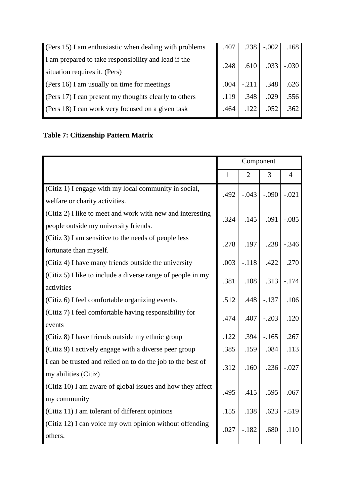| (Pers 15) I am enthusiastic when dealing with problems |      | $.407$ $.238$ $-.002$                   |      | .168 |
|--------------------------------------------------------|------|-----------------------------------------|------|------|
| I am prepared to take responsibility and lead if the   | .248 | $\vert$ .610 $\vert$ .033 $\vert$ -.030 |      |      |
| situation requires it. (Pers)                          |      |                                         |      |      |
| (Pers 16) I am usually on time for meetings            | .004 | $-211$ .348 .626                        |      |      |
| (Pers 17) I can present my thoughts clearly to others  | .119 | .348                                    | .029 | .556 |
| (Pers 18) I can work very focused on a given task      | .464 | .122                                    | .052 | .362 |

# **Table 7: Citizenship Pattern Matrix**

|                                                             | Component    |                |         |                |
|-------------------------------------------------------------|--------------|----------------|---------|----------------|
|                                                             | $\mathbf{1}$ | $\overline{2}$ | 3       | $\overline{4}$ |
| (Citiz 1) I engage with my local community in social,       | .492         | $-.043$        | $-.090$ | $-.021$        |
| welfare or charity activities.                              |              |                |         |                |
| (Citiz 2) I like to meet and work with new and interesting  | .324         | .145           | .091    | $-.085$        |
| people outside my university friends.                       |              |                |         |                |
| (Citiz 3) I am sensitive to the needs of people less        | .278         | .197           | .238    | $-.346$        |
| fortunate than myself.                                      |              |                |         |                |
| (Citiz 4) I have many friends outside the university        | .003         | $-.118$        | .422    | .270           |
| (Citiz 5) I like to include a diverse range of people in my | .381         | .108           | .313    | $-.174$        |
| activities                                                  |              |                |         |                |
| (Citiz 6) I feel comfortable organizing events.             | .512         | .448           | $-.137$ | .106           |
| (Citiz 7) I feel comfortable having responsibility for      | .474         | .407           | $-.203$ | .120           |
| events                                                      |              |                |         |                |
| (Citiz 8) I have friends outside my ethnic group            | .122         | .394           | $-165$  | .267           |
| (Citiz 9) I actively engage with a diverse peer group       | .385         | .159           | .084    | .113           |
| I can be trusted and relied on to do the job to the best of | .312         | .160           | .236    | $-.027$        |
| my abilities (Citiz)                                        |              |                |         |                |
| (Citiz 10) I am aware of global issues and how they affect  | .495         | $-.415$        | .595    | $-.067$        |
| my community                                                |              |                |         |                |
| (Citiz 11) I am tolerant of different opinions              | .155         | .138           | .623    | $-.519$        |
| (Citiz 12) I can voice my own opinion without offending     | .027         | $-.182$        | .680    | .110           |
| others.                                                     |              |                |         |                |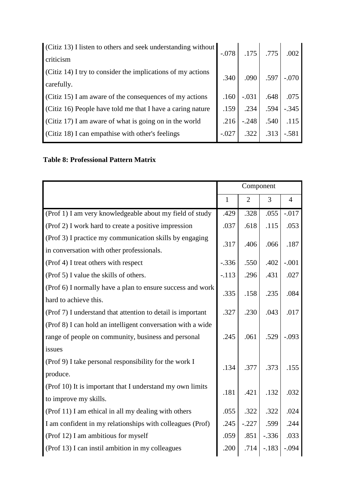| (Citiz 13) I listen to others and seek understanding without |         |         | $.175$ .775 | .002    |
|--------------------------------------------------------------|---------|---------|-------------|---------|
| criticism                                                    |         |         |             |         |
| (Citiz 14) I try to consider the implications of my actions  | .340    |         | $.090$ .597 | $-.070$ |
| carefully.                                                   |         |         |             |         |
| (Citiz 15) I am aware of the consequences of my actions      | .160    | $-.031$ | .648        | .075    |
| (Citiz 16) People have told me that I have a caring nature   | .159    | .234    | .594        | $-.345$ |
| (Citiz 17) I am aware of what is going on in the world       | .216    | $-.248$ | .540        | .115    |
| (Citiz 18) I can empathise with other's feelings             | $-.027$ | .322    | .313        | $-.581$ |
|                                                              |         |         |             |         |

# **Table 8: Professional Pattern Matrix**

|                                                                                   | Component    |                |         |                |
|-----------------------------------------------------------------------------------|--------------|----------------|---------|----------------|
|                                                                                   | $\mathbf{1}$ | $\overline{2}$ | 3       | $\overline{4}$ |
| (Prof 1) I am very knowledgeable about my field of study                          | .429         | .328           | .055    | $-.017$        |
| (Prof 2) I work hard to create a positive impression                              | .037         | .618           | .115    | .053           |
| (Prof 3) I practice my communication skills by engaging                           | .317         | .406           | .066    | .187           |
| in conversation with other professionals.<br>(Prof 4) I treat others with respect | $-.336$      | .550           | .402    | $-.001$        |
| (Prof 5) I value the skills of others.                                            | $-.113$      | .296           | .431    | .027           |
| (Prof 6) I normally have a plan to ensure success and work                        | .335         | .158           | .235    | .084           |
| hard to achieve this.                                                             |              |                |         |                |
| (Prof 7) I understand that attention to detail is important                       | .327         | .230           | .043    | .017           |
| (Prof 8) I can hold an intelligent conversation with a wide                       |              |                |         |                |
| range of people on community, business and personal                               | .245         | .061           | .529    | $-.093$        |
| issues                                                                            |              |                |         |                |
| (Prof 9) I take personal responsibility for the work I                            | .134         | .377           | .373    | .155           |
| produce.                                                                          |              |                |         |                |
| (Prof 10) It is important that I understand my own limits                         | .181         | .421           | .132    | .032           |
| to improve my skills.                                                             |              |                |         |                |
| (Prof 11) I am ethical in all my dealing with others                              | .055         | .322           | .322    | .024           |
| I am confident in my relationships with colleagues (Prof)                         | .245         | $-.227$        | .599    | .244           |
| (Prof 12) I am ambitious for myself                                               | .059         | .851           | $-.336$ | .033           |
| (Prof 13) I can instil ambition in my colleagues                                  | .200         | .714           | $-.183$ | $-.094$        |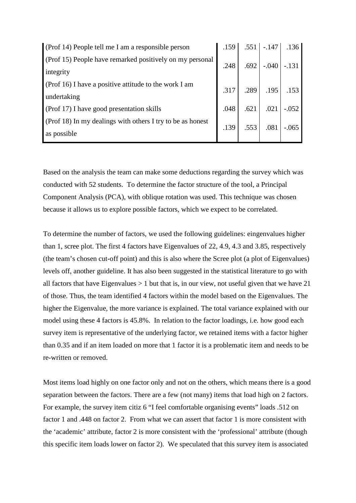| (Prof 14) People tell me I am a responsible person         | .159 |      | $.551$ $-.147$            | .136    |
|------------------------------------------------------------|------|------|---------------------------|---------|
| (Prof 15) People have remarked positively on my personal   | .248 |      | $-.040$                   | $-.131$ |
| integrity                                                  |      | .692 |                           |         |
| (Prof 16) I have a positive attitude to the work I am      |      |      | .317   .289   .195   .153 |         |
| undertaking                                                |      |      |                           |         |
| (Prof 17) I have good presentation skills                  | .048 | .621 | .021                      | $-.052$ |
| (Prof 18) In my dealings with others I try to be as honest |      |      | .081                      |         |
| as possible                                                | .139 | .553 |                           | $-.065$ |

Based on the analysis the team can make some deductions regarding the survey which was conducted with 52 students. To determine the factor structure of the tool, a Principal Component Analysis (PCA), with oblique rotation was used. This technique was chosen because it allows us to explore possible factors, which we expect to be correlated.

To determine the number of factors, we used the following guidelines: eingenvalues higher than 1, scree plot. The first 4 factors have Eigenvalues of 22, 4.9, 4.3 and 3.85, respectively (the team's chosen cut-off point) and this is also where the Scree plot (a plot of Eigenvalues) levels off, another guideline. It has also been suggested in the statistical literature to go with all factors that have Eigenvalues  $> 1$  but that is, in our view, not useful given that we have 21 of those. Thus, the team identified 4 factors within the model based on the Eigenvalues. The higher the Eigenvalue, the more variance is explained. The total variance explained with our model using these 4 factors is 45.8%. In relation to the factor loadings, i.e. how good each survey item is representative of the underlying factor, we retained items with a factor higher than 0.35 and if an item loaded on more that 1 factor it is a problematic item and needs to be re-written or removed.

Most items load highly on one factor only and not on the others, which means there is a good separation between the factors. There are a few (not many) items that load high on 2 factors. For example, the survey item citiz 6 "I feel comfortable organising events" loads .512 on factor 1 and .448 on factor 2. From what we can assert that factor 1 is more consistent with the 'academic' attribute, factor 2 is more consistent with the 'professional' attribute (though this specific item loads lower on factor 2). We speculated that this survey item is associated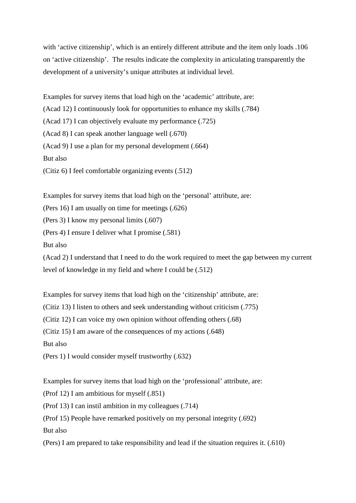with 'active citizenship', which is an entirely different attribute and the item only loads .106 on 'active citizenship'. The results indicate the complexity in articulating transparently the development of a university's unique attributes at individual level.

Examples for survey items that load high on the 'academic' attribute, are:

(Acad 12) I continuously look for opportunities to enhance my skills (.784)

(Acad 17) I can objectively evaluate my performance (.725)

(Acad 8) I can speak another language well (.670)

(Acad 9) I use a plan for my personal development (.664)

But also

(Citiz 6) I feel comfortable organizing events (.512)

Examples for survey items that load high on the 'personal' attribute, are:

(Pers 16) I am usually on time for meetings (.626)

(Pers 3) I know my personal limits (.607)

(Pers 4) I ensure I deliver what I promise (.581)

But also

(Acad 2) I understand that I need to do the work required to meet the gap between my current level of knowledge in my field and where I could be (.512)

Examples for survey items that load high on the 'citizenship' attribute, are:

(Citiz 13) I listen to others and seek understanding without criticism (.775)

(Citiz 12) I can voice my own opinion without offending others (.68)

(Citiz 15) I am aware of the consequences of my actions (.648)

But also

(Pers 1) I would consider myself trustworthy (.632)

Examples for survey items that load high on the 'professional' attribute, are:

(Prof 12) I am ambitious for myself (.851)

(Prof 13) I can instil ambition in my colleagues (.714)

(Prof 15) People have remarked positively on my personal integrity (.692)

But also

(Pers) I am prepared to take responsibility and lead if the situation requires it. (.610)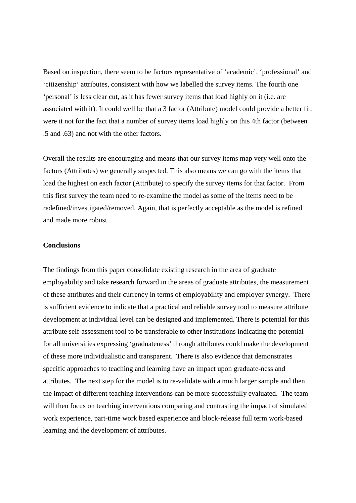Based on inspection, there seem to be factors representative of 'academic', 'professional' and 'citizenship' attributes, consistent with how we labelled the survey items. The fourth one 'personal' is less clear cut, as it has fewer survey items that load highly on it (i.e. are associated with it). It could well be that a 3 factor (Attribute) model could provide a better fit, were it not for the fact that a number of survey items load highly on this 4th factor (between .5 and .63) and not with the other factors.

Overall the results are encouraging and means that our survey items map very well onto the factors (Attributes) we generally suspected. This also means we can go with the items that load the highest on each factor (Attribute) to specify the survey items for that factor. From this first survey the team need to re-examine the model as some of the items need to be redefined/investigated/removed. Again, that is perfectly acceptable as the model is refined and made more robust.

### **Conclusions**

The findings from this paper consolidate existing research in the area of graduate employability and take research forward in the areas of graduate attributes, the measurement of these attributes and their currency in terms of employability and employer synergy. There is sufficient evidence to indicate that a practical and reliable survey tool to measure attribute development at individual level can be designed and implemented. There is potential for this attribute self-assessment tool to be transferable to other institutions indicating the potential for all universities expressing 'graduateness' through attributes could make the development of these more individualistic and transparent. There is also evidence that demonstrates specific approaches to teaching and learning have an impact upon graduate-ness and attributes. The next step for the model is to re-validate with a much larger sample and then the impact of different teaching interventions can be more successfully evaluated. The team will then focus on teaching interventions comparing and contrasting the impact of simulated work experience, part-time work based experience and block-release full term work-based learning and the development of attributes.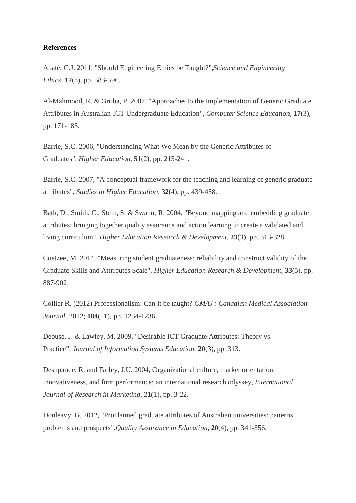#### **References**

Abaté, C.J. 2011, "Should Engineering Ethics be Taught?",*Science and Engineering Ethics,* **17**(3), pp. 583-596.

Al-Mahmood, R. & Gruba, P. 2007, "Approaches to the Implementation of Generic Graduate Attributes in Australian ICT Undergraduate Education", *Computer Science Education,* **17**(3), pp. 171-185.

Barrie, S.C. 2006, "Understanding What We Mean by the Generic Attributes of Graduates", *Higher Education,* **51**(2), pp. 215-241.

Barrie, S.C. 2007, "A conceptual framework for the teaching and learning of generic graduate attributes", *Studies in Higher Education,* **32**(4), pp. 439-458.

Bath, D., Smith, C., Stein, S. & Swann, R. 2004, "Beyond mapping and embedding graduate attributes: bringing together quality assurance and action learning to create a validated and living curriculum", *Higher Education Research & Development,* **23**(3), pp. 313-328.

Coetzee, M. 2014, "Measuring student graduateness: reliability and construct validity of the Graduate Skills and Attributes Scale", *Higher Education Research & Development,* **33**(5), pp. 887-902.

Collier R. (2012) Professionalism: Can it be taught? *CMAJ : Canadian Medical Association Journal*. 2012; **184**(11), pp. 1234-1236.

Debuse, J. & Lawley, M. 2009, "Desirable ICT Graduate Attributes: Theory vs. Practice", *Journal of Information Systems Education,* **20**(3), pp. 313.

Deshpande, R. and Farley, J.U. 2004, Organizational culture, market orientation, innovativeness, and firm performance: an international research odyssey, *International Journal of Research in Marketing*, **21**(1), pp. 3-22.

Donleavy, G. 2012, "Proclaimed graduate attributes of Australian universities: patterns, problems and prospects",*Quality Assurance in Education,* **20**(4), pp. 341-356.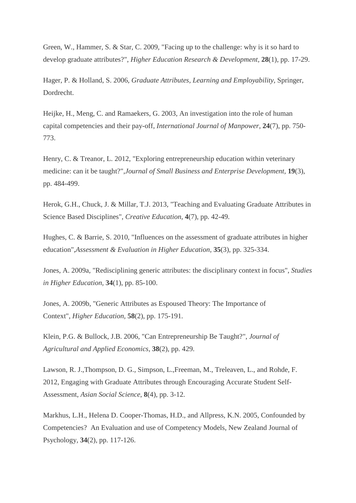Green, W., Hammer, S. & Star, C. 2009, "Facing up to the challenge: why is it so hard to develop graduate attributes?", *Higher Education Research & Development,* **28**(1), pp. 17-29.

Hager, P. & Holland, S. 2006, *Graduate Attributes, Learning and Employability,* Springer, Dordrecht.

Heijke, H., Meng, C. and Ramaekers, G. 2003, An investigation into the role of human capital competencies and their pay-off, *International Journal of Manpower*, **24**(7), pp. 750- 773.

Henry, C. & Treanor, L. 2012, "Exploring entrepreneurship education within veterinary medicine: can it be taught?",*Journal of Small Business and Enterprise Development,* **19**(3), pp. 484-499.

Herok, G.H., Chuck, J. & Millar, T.J. 2013, "Teaching and Evaluating Graduate Attributes in Science Based Disciplines", *Creative Education,* **4**(7), pp. 42-49.

Hughes, C. & Barrie, S. 2010, "Influences on the assessment of graduate attributes in higher education",*Assessment & Evaluation in Higher Education,* **35**(3), pp. 325-334.

Jones, A. 2009a, "Redisciplining generic attributes: the disciplinary context in focus", *Studies in Higher Education,* **34**(1), pp. 85-100.

Jones, A. 2009b, "Generic Attributes as Espoused Theory: The Importance of Context", *Higher Education,* **58**(2), pp. 175-191.

Klein, P.G. & Bullock, J.B. 2006, "Can Entrepreneurship Be Taught?", *Journal of Agricultural and Applied Economics,* **38**(2), pp. 429.

Lawson, R. J.,Thompson, D. G., Simpson, L.,Freeman, M., Treleaven, L., and Rohde, F. 2012, Engaging with Graduate Attributes through Encouraging Accurate Student Self-Assessment, *Asian Social Science*, **8**(4), pp. 3-12.

Markhus, L.H., Helena D. Cooper-Thomas, H.D., and Allpress, K.N. 2005, Confounded by Competencies? An Evaluation and use of Competency Models, New Zealand Journal of Psychology, **34**(2), pp. 117-126.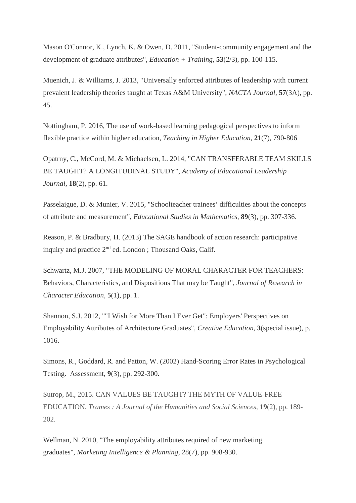Mason O'Connor, K., Lynch, K. & Owen, D. 2011, "Student-community engagement and the development of graduate attributes", *Education + Training,* **53**(2/3), pp. 100-115.

Muenich, J. & Williams, J. 2013, "Universally enforced attributes of leadership with current prevalent leadership theories taught at Texas A&M University", *NACTA Journal,* **57**(3A), pp. 45.

Nottingham, P. 2016, The use of work-based learning pedagogical perspectives to inform flexible practice within higher education, *Teaching in Higher Education*, **21**(7), 790-806

Opatrny, C., McCord, M. & Michaelsen, L. 2014, "CAN TRANSFERABLE TEAM SKILLS BE TAUGHT? A LONGITUDINAL STUDY", *Academy of Educational Leadership Journal,* **18**(2), pp. 61.

Passelaigue, D. & Munier, V. 2015, "Schoolteacher trainees' difficulties about the concepts of attribute and measurement", *Educational Studies in Mathematics,* **89**(3), pp. 307-336.

Reason, P. & Bradbury, H. (2013) The SAGE handbook of action research: participative inquiry and practice  $2<sup>nd</sup>$  ed. London ; Thousand Oaks, Calif.

Schwartz, M.J. 2007, "THE MODELING OF MORAL CHARACTER FOR TEACHERS: Behaviors, Characteristics, and Dispositions That may be Taught", *Journal of Research in Character Education,* **5**(1), pp. 1.

Shannon, S.J. 2012, ""I Wish for More Than I Ever Get": Employers' Perspectives on Employability Attributes of Architecture Graduates", *Creative Education,* **3**(special issue), p. 1016.

Simons, R., Goddard, R. and Patton, W. (2002) Hand-Scoring Error Rates in Psychological Testing. Assessment, **9**(3), pp. 292-300.

Sutrop, M., 2015. CAN VALUES BE TAUGHT? THE MYTH OF VALUE-FREE EDUCATION. *Trames : A Journal of the Humanities and Social Sciences,* **19**(2), pp. 189- 202.

Wellman, N. 2010, "The employability attributes required of new marketing graduates", *Marketing Intelligence & Planning,* 28(7), pp. 908-930.